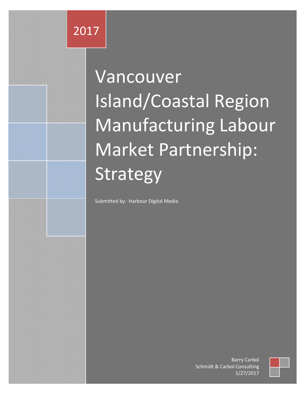# Vancouver Island/Coastal Region Manufacturing Labour Market Partnership: Strategy

Submitted by: Harbour Digital Media

Schmidt & Carbol Consulting Barry Carbol 1/27/2017

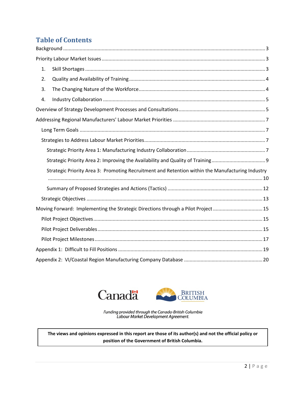### **Table of Contents**

| 1. |                                                                                                  |
|----|--------------------------------------------------------------------------------------------------|
| 2. |                                                                                                  |
| 3. |                                                                                                  |
| 4. |                                                                                                  |
|    |                                                                                                  |
|    |                                                                                                  |
|    |                                                                                                  |
|    |                                                                                                  |
|    |                                                                                                  |
|    |                                                                                                  |
|    | Strategic Priority Area 3: Promoting Recruitment and Retention within the Manufacturing Industry |
|    |                                                                                                  |
|    |                                                                                                  |
|    | Moving Forward: Implementing the Strategic Directions through a Pilot Project  15                |
|    |                                                                                                  |
|    |                                                                                                  |
|    |                                                                                                  |
|    |                                                                                                  |
|    |                                                                                                  |





Funding provided through the Canada-British Columbia<br>Labour Market Development Agreement.

**The views and opinions expressed in this report are those of its author(s) and not the official policy or position of the Government of British Columbia.**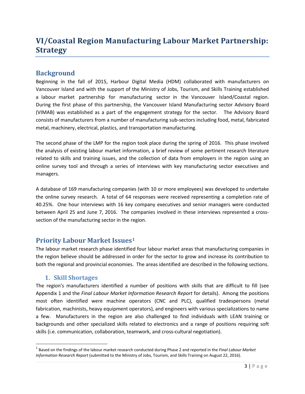## **VI/Coastal Region Manufacturing Labour Market Partnership: Strategy**

#### <span id="page-2-0"></span>**Background**

Beginning in the fall of 2015, Harbour Digital Media (HDM) collaborated with manufacturers on Vancouver Island and with the support of the Ministry of Jobs, Tourism, and Skills Training established a labour market partnership for manufacturing sector in the Vancouver Island/Coastal region. During the first phase of this partnership, the Vancouver Island Manufacturing sector Advisory Board (VIMAB) was established as a part of the engagement strategy for the sector. The Advisory Board consists of manufacturers from a number of manufacturing sub-sectors including food, metal, fabricated metal, machinery, electrical, plastics, and transportation manufacturing.

The second phase of the LMP for the region took place during the spring of 2016. This phase involved the analysis of existing labour market information, a brief review of some pertinent research literature related to skills and training issues, and the collection of data from employers in the region using an online survey tool and through a series of interviews with key manufacturing sector executives and managers.

A database of 169 manufacturing companies (with 10 or more employees) was developed to undertake the online survey research. A total of 64 responses were received representing a completion rate of 40.25%. One hour interviews with 16 key company executives and senior managers were conducted between April 25 and June 7, 2016. The companies involved in these interviews represented a crosssection of the manufacturing sector in the region.

#### <span id="page-2-1"></span>**Priority Labour Market Issues[1](#page-2-3)**

The labour market research phase identified four labour market areas that manufacturing companies in the region believe should be addressed in order for the sector to grow and increase its contribution to both the regional and provincial economies. The areas identified are described in the following sections.

#### **1. Skill Shortages**

<span id="page-2-2"></span>The region's manufacturers identified a number of positions with skills that are difficult to fill (see Appendix 1 and the *Final Labour Market Information Research Report* for details). Among the positions most often identified were machine operators (CNC and PLC), qualified tradespersons (metal fabrication, machinists, heavy equipment operators), and engineers with various specializations to name a few. Manufacturers in the region are also challenged to find individuals with LEAN training or backgrounds and other specialized skills related to electronics and a range of positions requiring soft skills (i.e. communication, collaboration, teamwork, and cross-cultural negotiation).

<span id="page-2-3"></span><sup>1</sup> Based on the findings of the labour market research conducted during Phase 2 and reported in the *Final Labour Market Information Research Report* (submitted to the Ministry of Jobs, Tourism, and Skills Training on August 22, 2016).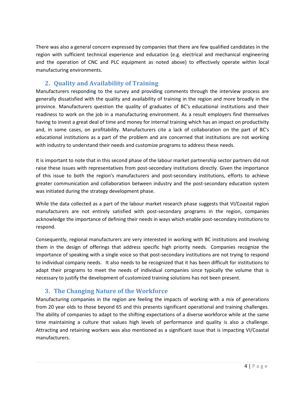There was also a general concern expressed by companies that there are few qualified candidates in the region with sufficient technical experience and education (e.g. electrical and mechanical engineering and the operation of CNC and PLC equipment as noted above) to effectively operate within local manufacturing environments.

#### **2. Quality and Availability of Training**

<span id="page-3-0"></span>Manufacturers responding to the survey and providing comments through the interview process are generally dissatisfied with the quality and availability of training in the region and more broadly in the province. Manufacturers question the quality of graduates of BC's educational institutions and their readiness to work on the job in a manufacturing environment. As a result employers find themselves having to invest a great deal of time and money for internal training which has an impact on productivity and, in some cases, on profitability. Manufacturers cite a lack of collaboration on the part of BC's educational institutions as a part of the problem and are concerned that institutions are not working with industry to understand their needs and customize programs to address these needs.

It is important to note that in this second phase of the labour market partnership sector partners did not raise these issues with representatives from post-secondary institutions directly. Given the importance of this issue to both the region's manufacturers and post-secondary institutions, efforts to achieve greater communication and collaboration between industry and the post-secondary education system was initiated during the strategy development phase.

While the data collected as a part of the labour market research phase suggests that VI/Coastal region manufacturers are not entirely satisfied with post-secondary programs in the region, companies acknowledge the importance of defining their needs in ways which enable post-secondary institutions to respond.

Consequently, regional manufacturers are very interested in working with BC institutions and involving them in the design of offerings that address specific high priority needs. Companies recognize the importance of speaking with a single voice so that post-secondary institutions are not trying to respond to individual company needs. It also needs to be recognized that it has been difficult for institutions to adapt their programs to meet the needs of individual companies since typically the volume that is necessary to justify the development of customized training solutions has not been present.

#### **3. The Changing Nature of the Workforce**

<span id="page-3-1"></span>Manufacturing companies in the region are feeling the impacts of working with a mix of generations from 20 year olds to those beyond 65 and this presents significant operational and training challenges. The ability of companies to adapt to the shifting expectations of a diverse workforce while at the same time maintaining a culture that values high levels of performance and quality is also a challenge. Attracting and retaining workers was also mentioned as a significant issue that is impacting VI/Coastal manufacturers.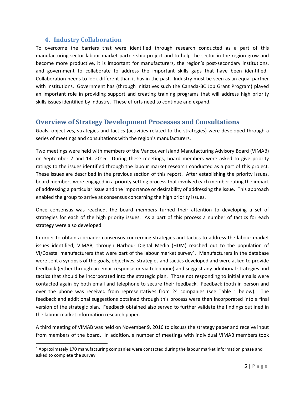#### **4. Industry Collaboration**

<span id="page-4-0"></span>To overcome the barriers that were identified through research conducted as a part of this manufacturing sector labour market partnership project and to help the sector in the region grow and become more productive, it is important for manufacturers, the region's post-secondary institutions, and government to collaborate to address the important skills gaps that have been identified. Collaboration needs to look different than it has in the past. Industry must be seen as an equal partner with institutions. Government has (through initiatives such the Canada-BC Job Grant Program) played an important role in providing support and creating training programs that will address high priority skills issues identified by industry. These efforts need to continue and expand.

#### <span id="page-4-1"></span>**Overview of Strategy Development Processes and Consultations**

Goals, objectives, strategies and tactics (activities related to the strategies) were developed through a series of meetings and consultations with the region's manufacturers.

Two meetings were held with members of the Vancouver Island Manufacturing Advisory Board (VIMAB) on September 7 and 14, 2016. During these meetings, board members were asked to give priority ratings to the issues identified through the labour market research conducted as a part of this project. These issues are described in the previous section of this report. After establishing the priority issues, board members were engaged in a priority setting process that involved each member rating the impact of addressing a particular issue and the importance or desirability of addressing the issue. This approach enabled the group to arrive at consensus concerning the high priority issues.

Once consensus was reached, the board members turned their attention to developing a set of strategies for each of the high priority issues. As a part of this process a number of tactics for each strategy were also developed.

In order to obtain a broader consensus concerning strategies and tactics to address the labour market issues identified, VIMAB, through Harbour Digital Media (HDM) reached out to the population of VI/Coastal manufacturers that were part of the labour market survey<sup>[2](#page-4-2)</sup>. Manufacturers in the database were sent a synopsis of the goals, objectives, strategies and tactics developed and were asked to provide feedback (either through an email response or via telephone) and suggest any additional strategies and tactics that should be incorporated into the strategic plan. Those not responding to initial emails were contacted again by both email and telephone to secure their feedback. Feedback (both in person and over the phone was received from representatives from 24 companies (see Table 1 below). The feedback and additional suggestions obtained through this process were then incorporated into a final version of the strategic plan. Feedback obtained also served to further validate the findings outlined in the labour market information research paper.

A third meeting of VIMAB was held on November 9, 2016 to discuss the strategy paper and receive input from members of the board. In addition, a number of meetings with individual VIMAB members took

<span id="page-4-2"></span> $<sup>2</sup>$  Approximately 170 manufacturing companies were contacted during the labour market information phase and</sup> asked to complete the survey.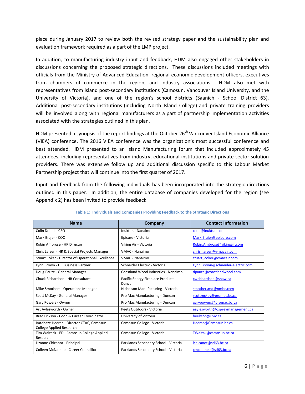place during January 2017 to review both the revised strategy paper and the sustainability plan and evaluation framework required as a part of the LMP project.

In addition, to manufacturing industry input and feedback, HDM also engaged other stakeholders in discussions concerning the proposed strategic directions. These discussions included meetings with officials from the Ministry of Advanced Education, regional economic development officers, executives from chambers of commerce in the region, and industry associations. HDM also met with representatives from island post-secondary institutions (Camosun, Vancouver Island University, and the University of Victoria), and one of the region's school districts (Saanich - School District 63). Additional post-secondary institutions (including North Island College) and private training providers will be involved along with regional manufacturers as a part of partnership implementation activities associated with the strategies outlined in this plan.

HDM presented a synopsis of the report findings at the October 26<sup>th</sup> Vancouver Island Economic Alliance (VIEA) conference. The 2016 VIEA conference was the organization's most successful conference and best attended. HDM presented to an Island Manufacturing forum that included approximately 45 attendees, including representatives from industry, educational institutions and private sector solution providers. There was extensive follow up and additional discussion specific to this Labour Market Partnership project that will continue into the first quarter of 2017.

Input and feedback from the following individuals has been incorporated into the strategic directions outlined in this paper. In addition, the entire database of companies developed for the region (see Appendix 2) has been invited to provide feedback.

| <b>Name</b>                                                                 | Company                                       | <b>Contact Information</b>        |
|-----------------------------------------------------------------------------|-----------------------------------------------|-----------------------------------|
| Colin Dobell - CEO                                                          | Inuktun - Nanaimo                             | colin@inuktun.com                 |
| Mark Brajer - COO                                                           | Epicure - Victoria                            | Mark.Brajer@epicure.com           |
| Robin Ambrose - HR Director                                                 | Viking Air - Victoria                         | Robin.Ambrose@vikingair.com       |
| Chris Larsen - HR & Special Projects Manager                                | <b>VMAC - Nanaimo</b>                         | chris larsen@vmacair.com          |
| Stuart Coker - Director of Operational Excellence                           | VMAC - Nanaimo                                | stuart coker@vmacair.com          |
| Lynn Brown - HR Business Partner                                            | Schneider Electric - Victoria                 | Lynn.Brown@schneider-electric.com |
| Doug Pauze - General Manager                                                | Coastland Wood Industries - Nanaimo           | dpauze@coastlandwood.com          |
| Chuck Richardson - HR Consultant                                            | Pacific Energy Fireplace Products -<br>Duncan | cwrichardson@shaw.ca              |
| Mike Smothers - Operations Manager                                          | Nicholson Manufacturing - Victoria            | smothersmd@nmbc.com               |
| Scott McKay - General Manager                                               | Pro Mac Manufacturing - Duncan                | scottmckay@promac.bc.ca           |
| Gary Powers - Owner                                                         | Pro Mac Manufacturing - Duncan                | garypowers@promac.bc.ca           |
| Art Aylesworth - Owner                                                      | Peetz Outdoors - Victoria                     | aaylesworth@ospreymanagement.ca   |
| Brad Erikson - Coop & Career Coordinator                                    | University of Victoria                        | berikson@uvic.ca                  |
| Imtehaze Heerah - Director CTAC, Camosun<br><b>College Applied Research</b> | Camosun College - Victoria                    | Heerah@Camosun.bc.ca              |
| Tim Walzack - ED - Camosun College Applied<br>Research                      | Camosun College - Victoria                    | TWalzak@camosun.bc.ca             |
| Lizanne Chicanot - Principal                                                | Parklands Secondary School - Victoria         | lchicanot@sd63.bc.ca              |
| Colleen McNamee - Career Councillor                                         | Parklands Secondary School - Victoria         | cmcnamee@sd63.bc.ca               |

#### **Table 1: Individuals and Companies Providing Feedback to the Strategic Directions**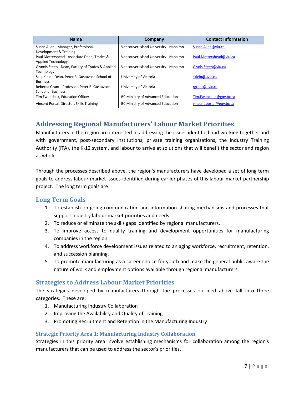| <b>Name</b>                                                                | <b>Company</b>                        | <b>Contact Information</b> |
|----------------------------------------------------------------------------|---------------------------------------|----------------------------|
| Susan Allen - Manager, Professional<br>Development & Training              | Vancouver Island University - Nanaimo | Susan.Allen@viu.ca         |
| Paul Mottershead - Associate Dean, Trades &<br>Applied Technology          | Vancouver Island University - Nanaimo | Paul.Mottershead@viu.ca    |
| Glynnis Steen - Dean, Faculty of Trades & Applied<br>Technology            | Vancouver Island University - Nanaimo | Glynis.Steen@viu.ca        |
| Saul Klein - Dean, Peter B. Gustavson School of<br><b>Business</b>         | University of Victoria                | sklein@uvic.ca             |
| Rebecca Grant - Professor, Peter B. Gustavson<br><b>School of Business</b> | University of Victoria                | rgrant@uvic.ca             |
| Tim Ewanchuk, Education Officer                                            | BC Ministry of Advanced Education     | Tim.Ewanchuk@gov.bc.ca     |
| Vincent Portal, Director, Skills Training                                  | BC Ministry of Advanced Education     | vincent.portal@gov.bc.ca   |

## <span id="page-6-0"></span>**Addressing Regional Manufacturers' Labour Market Priorities**

Manufacturers in the region are interested in addressing the issues identified and working together and with government, post-secondary institutions, private training organizations, the Industry Training Authority (ITA), the K-12 system, and labour to arrive at solutions that will benefit the sector and region as whole.

Through the processes described above, the region's manufacturers have developed a set of long term goals to address labour market issues identified during earlier phases of this labour market partnership project. The long term goals are:

#### <span id="page-6-1"></span>**Long Term Goals**

- 1. To establish on-going communication and information sharing mechanisms and processes that support industry labour market priorities and needs.
- 2. To reduce or eliminate the skills gaps identified by regional manufacturers.
- 3. To improve access to quality training and development opportunities for manufacturing companies in the region.
- 4. To address workforce development issues related to an aging workforce, recruitment, retention, and succession planning.
- 5. To promote manufacturing as a career choice for youth and make the general public aware the nature of work and employment options available through regional manufacturers.

#### <span id="page-6-2"></span>**Strategies to Address Labour Market Priorities**

The strategies developed by manufacturers through the processes outlined above fall into three categories. These are:

- 1. Manufacturing Industry Collaboration
- 2. Improving the Availability and Quality of Training
- 3. Promoting Recruitment and Retention in the Manufacturing Industry

#### <span id="page-6-3"></span>**Strategic Priority Area 1: Manufacturing Industry Collaboration**

Strategies in this priority area involve establishing mechanisms for collaboration among the region's manufacturers that can be used to address the sector's priorities.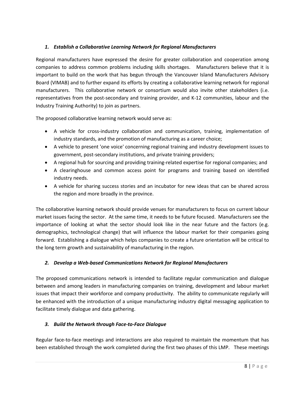#### *1. Establish a Collaborative Learning Network for Regional Manufacturers*

Regional manufacturers have expressed the desire for greater collaboration and cooperation among companies to address common problems including skills shortages. Manufacturers believe that it is important to build on the work that has begun through the Vancouver Island Manufacturers Advisory Board (VIMAB) and to further expand its efforts by creating a collaborative learning network for regional manufacturers. This collaborative network or consortium would also invite other stakeholders (i.e. representatives from the post-secondary and training provider, and K-12 communities, labour and the Industry Training Authority) to join as partners.

The proposed collaborative learning network would serve as:

- A vehicle for cross-industry collaboration and communication, training, implementation of industry standards, and the promotion of manufacturing as a career choice;
- A vehicle to present 'one voice' concerning regional training and industry development issues to government, post-secondary institutions, and private training providers;
- A regional hub for sourcing and providing training-related expertise for regional companies; and
- A clearinghouse and common access point for programs and training based on identified industry needs.
- A vehicle for sharing success stories and an incubator for new ideas that can be shared across the region and more broadly in the province.

The collaborative learning network should provide venues for manufacturers to focus on current labour market issues facing the sector. At the same time, it needs to be future focused. Manufacturers see the importance of looking at what the sector should look like in the near future and the factors (e.g. demographics, technological change) that will influence the labour market for their companies going forward. Establishing a dialogue which helps companies to create a future orientation will be critical to the long term growth and sustainability of manufacturing in the region.

#### *2. Develop a Web-based Communications Network for Regional Manufacturers*

The proposed communications network is intended to facilitate regular communication and dialogue between and among leaders in manufacturing companies on training, development and labour market issues that impact their workforce and company productivity. The ability to communicate regularly will be enhanced with the introduction of a unique manufacturing industry digital messaging application to facilitate timely dialogue and data gathering.

#### *3. Build the Network through Face-to-Face Dialogue*

Regular face-to-face meetings and interactions are also required to maintain the momentum that has been established through the work completed during the first two phases of this LMP. These meetings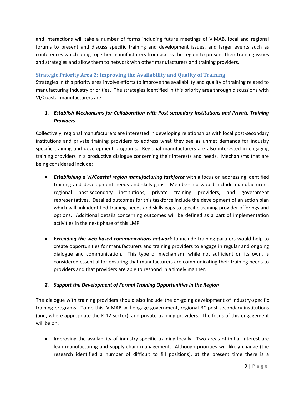and interactions will take a number of forms including future meetings of VIMAB, local and regional forums to present and discuss specific training and development issues, and larger events such as conferences which bring together manufacturers from across the region to present their training issues and strategies and allow them to network with other manufacturers and training providers.

#### <span id="page-8-0"></span>**Strategic Priority Area 2: Improving the Availability and Quality of Training**

Strategies in this priority area involve efforts to improve the availability and quality of training related to manufacturing industry priorities. The strategies identified in this priority area through discussions with VI/Coastal manufacturers are:

#### *1. Establish Mechanisms for Collaboration with Post-secondary Institutions and Private Training Providers*

Collectively, regional manufacturers are interested in developing relationships with local post-secondary institutions and private training providers to address what they see as unmet demands for industry specific training and development programs. Regional manufacturers are also interested in engaging training providers in a productive dialogue concerning their interests and needs. Mechanisms that are being considered include:

- *Establishing a VI/Coastal region manufacturing taskforce* with a focus on addressing identified training and development needs and skills gaps. Membership would include manufacturers, regional post-secondary institutions, private training providers, and government representatives. Detailed outcomes for this taskforce include the development of an action plan which will link identified training needs and skills gaps to specific training provider offerings and options. Additional details concerning outcomes will be defined as a part of implementation activities in the next phase of this LMP.
- *Extending the web-based communications network* to include training partners would help to create opportunities for manufacturers and training providers to engage in regular and ongoing dialogue and communication. This type of mechanism, while not sufficient on its own, is considered essential for ensuring that manufacturers are communicating their training needs to providers and that providers are able to respond in a timely manner.

#### *2. Support the Development of Formal Training Opportunities in the Region*

The dialogue with training providers should also include the on-going development of industry-specific training programs. To do this, VIMAB will engage government, regional BC post-secondary institutions (and, where appropriate the K-12 sector), and private training providers. The focus of this engagement will be on:

• Improving the availability of industry-specific training locally. Two areas of initial interest are lean manufacturing and supply chain management. Although priorities will likely change (the research identified a number of difficult to fill positions), at the present time there is a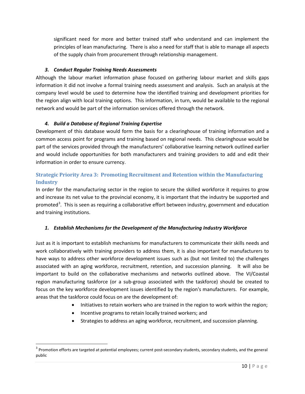significant need for more and better trained staff who understand and can implement the principles of lean manufacturing. There is also a need for staff that is able to manage all aspects of the supply chain from procurement through relationship management.

#### *3. Conduct Regular Training Needs Assessments*

Although the labour market information phase focused on gathering labour market and skills gaps information it did not involve a formal training needs assessment and analysis. Such an analysis at the company level would be used to determine how the identified training and development priorities for the region align with local training options. This information, in turn, would be available to the regional network and would be part of the information services offered through the network.

#### *4. Build a Database of Regional Training Expertise*

Development of this database would form the basis for a clearinghouse of training information and a common access point for programs and training based on regional needs. This clearinghouse would be part of the services provided through the manufacturers' collaborative learning network outlined earlier and would include opportunities for both manufacturers and training providers to add and edit their information in order to ensure currency.

#### <span id="page-9-0"></span>**Strategic Priority Area 3: Promoting Recruitment and Retention within the Manufacturing Industry**

In order for the manufacturing sector in the region to secure the skilled workforce it requires to grow and increase its net value to the provincial economy, it is important that the industry be supported and promoted<sup>[3](#page-9-1)</sup>. This is seen as requiring a collaborative effort between industry, government and education and training institutions.

#### *1. Establish Mechanisms for the Development of the Manufacturing Industry Workforce*

Just as it is important to establish mechanisms for manufacturers to communicate their skills needs and work collaboratively with training providers to address them, it is also important for manufacturers to have ways to address other workforce development issues such as (but not limited to) the challenges associated with an aging workforce, recruitment, retention, and succession planning. It will also be important to build on the collaborative mechanisms and networks outlined above. The VI/Coastal region manufacturing taskforce (or a sub-group associated with the taskforce) should be created to focus on the key workforce development issues identified by the region's manufacturers. For example, areas that the taskforce could focus on are the development of:

- Initiatives to retain workers who are trained in the region to work within the region;
- Incentive programs to retain locally trained workers; and
- Strategies to address an aging workforce, recruitment, and succession planning.

<span id="page-9-1"></span> $3$  Promotion efforts are targeted at potential employees; current post-secondary students, secondary students, and the general public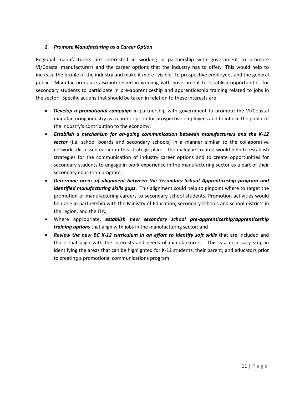#### *2. Promote Manufacturing as a Career Option*

Regional manufacturers are interested in working in partnership with government to promote VI/Coastal manufacturers and the career options that the industry has to offer. This would help to increase the profile of the industry and make it more "visible" to prospective employees and the general public. Manufacturers are also interested in working with government to establish opportunities for secondary students to participate in pre-apprenticeship and apprenticeship training related to jobs in the sector. Specific actions that should be taken in relation to these interests are:

- *Develop a promotional campaign* in partnership with government to promote the VI/Coastal manufacturing industry as a career option for prospective employees and to inform the public of the industry's contribution to the economy;
- *Establish a mechanism for on-going communication between manufacturers and the K-12*  sector (i.e. school boards and secondary schools) in a manner similar to the collaborative networks discussed earlier in this strategic plan. The dialogue created would help to establish strategies for the communication of industry career options and to create opportunities for secondary students to engage in work experience in the manufacturing sector as a part of their secondary education program;
- *Determine areas of alignment between the Secondary School Apprenticeship program and identified manufacturing skills gaps*. This alignment could help to pinpoint where to target the promotion of manufacturing careers to secondary school students. Promotion activities would be done in partnership with the Ministry of Education, secondary schools and school districts in the region, and the ITA;
- Where appropriate, *establish new secondary school pre-apprenticeship/apprenticeship training options* that align with jobs in the manufacturing sector; and
- **Review the new BC K-12 curriculum in an effort to identify soft skills** that are included and those that align with the interests and needs of manufacturers. This is a necessary step in identifying the areas that can be highlighted for K-12 students, their parent, and educators prior to creating a promotional communications program.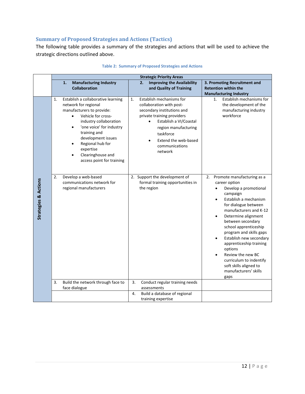#### <span id="page-11-0"></span>**Summary of Proposed Strategies and Actions (Tactics)**

The following table provides a summary of the strategies and actions that will be used to achieve the strategic directions outlined above.

|                                 | <b>Strategic Priority Areas</b>                                                                                                                                                                                                                                                                                              |                                                                                                                                                                                                                                                         |                                                                                                                                                                                                                                                                                                                                                                                                                                                                                                             |  |
|---------------------------------|------------------------------------------------------------------------------------------------------------------------------------------------------------------------------------------------------------------------------------------------------------------------------------------------------------------------------|---------------------------------------------------------------------------------------------------------------------------------------------------------------------------------------------------------------------------------------------------------|-------------------------------------------------------------------------------------------------------------------------------------------------------------------------------------------------------------------------------------------------------------------------------------------------------------------------------------------------------------------------------------------------------------------------------------------------------------------------------------------------------------|--|
|                                 | <b>Manufacturing Industry</b><br>1.                                                                                                                                                                                                                                                                                          | <b>Improving the Availability</b><br>2.                                                                                                                                                                                                                 | 3. Promoting Recruitment and                                                                                                                                                                                                                                                                                                                                                                                                                                                                                |  |
|                                 | <b>Collaboration</b>                                                                                                                                                                                                                                                                                                         | and Quality of Training                                                                                                                                                                                                                                 | <b>Retention within the</b><br><b>Manufacturing Industry</b>                                                                                                                                                                                                                                                                                                                                                                                                                                                |  |
|                                 | 1.<br>Establish a collaborative learning<br>network for regional<br>manufacturers to provide:<br>Vehicle for cross-<br>$\bullet$<br>industry collaboration<br>'one voice' for industry<br>$\bullet$<br>training and<br>development issues<br>Regional hub for<br>expertise<br>Clearinghouse and<br>access point for training | Establish mechanisms for<br>1.<br>collaboration with post-<br>secondary institutions and<br>private training providers<br>Establish a VI/Coastal<br>$\bullet$<br>region manufacturing<br>taskforce<br>Extend the web-based<br>communications<br>network | Establish mechanisms for<br>1.<br>the development of the<br>manufacturing industry<br>workforce                                                                                                                                                                                                                                                                                                                                                                                                             |  |
| <b>Strategies &amp; Actions</b> | Develop a web-based<br>2.<br>communications network for<br>regional manufacturers<br>Build the network through face to<br>3.                                                                                                                                                                                                 | 2. Support the development of<br>formal training opportunities in<br>the region<br>3.<br>Conduct regular training needs                                                                                                                                 | 2. Promote manufacturing as a<br>career option<br>Develop a promotional<br>$\bullet$<br>campaign<br>Establish a mechanism<br>$\bullet$<br>for dialogue between<br>manufacturers and K-12<br>Determine alignment<br>$\bullet$<br>between secondary<br>school apprenticeship<br>program and skills gaps<br>Establish new secondary<br>$\bullet$<br>apprenticeship training<br>options<br>Review the new BC<br>$\bullet$<br>curriculum to indentify<br>soft skills aligned to<br>manufacturers' skills<br>gaps |  |
|                                 | face dialogue                                                                                                                                                                                                                                                                                                                | assessments                                                                                                                                                                                                                                             |                                                                                                                                                                                                                                                                                                                                                                                                                                                                                                             |  |
|                                 |                                                                                                                                                                                                                                                                                                                              | 4.<br>Build a database of regional<br>training expertise                                                                                                                                                                                                |                                                                                                                                                                                                                                                                                                                                                                                                                                                                                                             |  |

#### **Table 2: Summary of Proposed Strategies and Actions**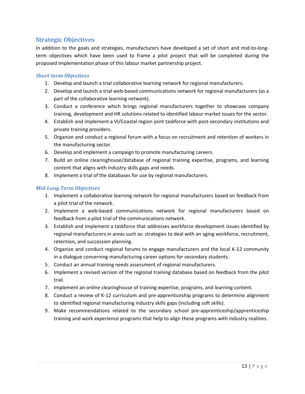#### <span id="page-12-0"></span>**Strategic Objectives**

In addition to the goals and strategies, manufacturers have developed a set of short and mid-to-longterm objectives which have been used to frame a pilot project that will be completed during the proposed implementation phase of this labour market partnership project.

#### *Short-term Objectives*

- 1. Develop and launch a trial collaborative learning network for regional manufacturers.
- 2. Develop and launch a trial web-based communications network for regional manufacturers (as a part of the collaborative learning network).
- 3. Conduct a conference which brings regional manufacturers together to showcase company training, development and HR solutions related to identified labour market issues for the sector.
- 4. Establish and implement a VI/Coastal region joint taskforce with post-secondary institutions and private training providers.
- 5. Organize and conduct a regional forum with a focus on recruitment and retention of workers in the manufacturing sector.
- 6. Develop and implement a campaign to promote manufacturing careers.
- 7. Build an online clearinghouse/database of regional training expertise, programs, and learning content that aligns with industry skills gaps and needs.
- 8. Implement a trial of the databases for use by regional manufacturers.

#### *Mid-Long Term Objectives*

- 1. Implement a collaborative learning network for regional manufacturers based on feedback from a pilot trial of the network.
- 2. Implement a web-based communications network for regional manufacturers based on feedback from a pilot trial of the communications network.
- 3. Establish and implement a taskforce that addresses workforce development issues identified by regional manufacturers in areas such as: strategies to deal with an aging workforce, recruitment, retention, and succession planning.
- 4. Organize and conduct regional forums to engage manufacturers and the local K-12 community in a dialogue concerning manufacturing career options for secondary students.
- 5. Conduct an annual training needs assessment of regional manufacturers.
- 6. Implement a revised version of the regional training database based on feedback from the pilot trial.
- 7. Implement an online clearinghouse of training expertise, programs, and learning content.
- 8. Conduct a review of K-12 curriculum and pre-apprenticeship programs to determine alignment to identified regional manufacturing industry skills gaps (including soft skills).
- 9. Make recommendations related to the secondary school pre-apprenticeship/apprenticeship training and work experience programs that help to align these programs with industry realities.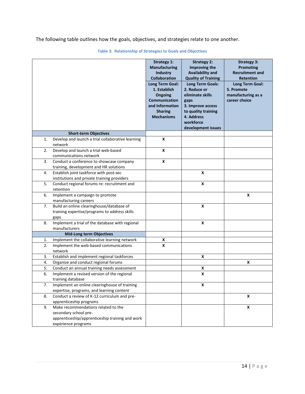The following table outlines how the goals, objectives, and strategies relate to one another.

|          |                                                                                     | <b>Strategy 1:</b><br><b>Manufacturing</b><br>Industry<br>Collaboration<br>Long Term Goal:<br>1. Establish<br><b>Ongoing</b><br>Communication<br>and Information<br><b>Sharing</b><br><b>Mechanisms</b> | <b>Strategy 2:</b><br>Improving the<br><b>Availability and</b><br><b>Quality of Training</b><br><b>Long Term Goals:</b><br>2. Reduce or<br>eliminate skills<br>gaps<br>3. Improve access<br>to quality training<br>4. Address<br>workforce<br>development issues | <b>Strategy 3:</b><br><b>Promoting</b><br><b>Recruitment and</b><br><b>Retention</b><br>Long Term Goal:<br>5. Promote<br>manufacturing as a<br>career choice |
|----------|-------------------------------------------------------------------------------------|---------------------------------------------------------------------------------------------------------------------------------------------------------------------------------------------------------|------------------------------------------------------------------------------------------------------------------------------------------------------------------------------------------------------------------------------------------------------------------|--------------------------------------------------------------------------------------------------------------------------------------------------------------|
|          | <b>Short-term Objectives</b>                                                        |                                                                                                                                                                                                         |                                                                                                                                                                                                                                                                  |                                                                                                                                                              |
| 1.       | Develop and launch a trial collaborative learning                                   | X                                                                                                                                                                                                       |                                                                                                                                                                                                                                                                  |                                                                                                                                                              |
|          | network                                                                             |                                                                                                                                                                                                         |                                                                                                                                                                                                                                                                  |                                                                                                                                                              |
| 2.       | Develop and launch a trial web-based<br>communications network                      | $\mathsf{x}$                                                                                                                                                                                            |                                                                                                                                                                                                                                                                  |                                                                                                                                                              |
| 3.       | Conduct a conference to showcase company                                            | $\pmb{\mathsf{X}}$                                                                                                                                                                                      |                                                                                                                                                                                                                                                                  |                                                                                                                                                              |
|          | training, development and HR solutions                                              |                                                                                                                                                                                                         |                                                                                                                                                                                                                                                                  |                                                                                                                                                              |
| 4.       | Establish joint taskforce with post-sec                                             |                                                                                                                                                                                                         | X                                                                                                                                                                                                                                                                |                                                                                                                                                              |
|          | institutions and private training providers                                         |                                                                                                                                                                                                         |                                                                                                                                                                                                                                                                  |                                                                                                                                                              |
| 5.       | Conduct regional forums re: recruitment and                                         |                                                                                                                                                                                                         | X                                                                                                                                                                                                                                                                |                                                                                                                                                              |
|          | retention                                                                           |                                                                                                                                                                                                         |                                                                                                                                                                                                                                                                  |                                                                                                                                                              |
| 6.       | Implement a campaign to promote                                                     |                                                                                                                                                                                                         |                                                                                                                                                                                                                                                                  | $\pmb{\mathsf{x}}$                                                                                                                                           |
| 7.       | manufacturing careers<br>Build an online clearinghouse/database of                  |                                                                                                                                                                                                         | X                                                                                                                                                                                                                                                                |                                                                                                                                                              |
|          | training expertise/programs to address skills                                       |                                                                                                                                                                                                         |                                                                                                                                                                                                                                                                  |                                                                                                                                                              |
|          | gaps                                                                                |                                                                                                                                                                                                         |                                                                                                                                                                                                                                                                  |                                                                                                                                                              |
| 8.       | Implement a trial of the database with regional                                     |                                                                                                                                                                                                         | $\pmb{\mathsf{x}}$                                                                                                                                                                                                                                               |                                                                                                                                                              |
|          | manufacturers                                                                       |                                                                                                                                                                                                         |                                                                                                                                                                                                                                                                  |                                                                                                                                                              |
|          | <b>Mid-Long term Objectives</b>                                                     |                                                                                                                                                                                                         |                                                                                                                                                                                                                                                                  |                                                                                                                                                              |
| 1.       | Implement the collaborative learning network                                        | X                                                                                                                                                                                                       |                                                                                                                                                                                                                                                                  |                                                                                                                                                              |
| 2.       | Implement the web-based communications                                              | $\pmb{\mathsf{x}}$                                                                                                                                                                                      |                                                                                                                                                                                                                                                                  |                                                                                                                                                              |
|          | network                                                                             |                                                                                                                                                                                                         |                                                                                                                                                                                                                                                                  |                                                                                                                                                              |
| 3.       | Establish and implement regional taskforces                                         |                                                                                                                                                                                                         | X                                                                                                                                                                                                                                                                |                                                                                                                                                              |
| 4.<br>5. | Organize and conduct regional forums<br>Conduct an annual training needs assessment |                                                                                                                                                                                                         | X                                                                                                                                                                                                                                                                | X                                                                                                                                                            |
| 6.       | Implement a revised version of the regional                                         |                                                                                                                                                                                                         | X                                                                                                                                                                                                                                                                |                                                                                                                                                              |
|          | training database                                                                   |                                                                                                                                                                                                         |                                                                                                                                                                                                                                                                  |                                                                                                                                                              |
| 7.       | Implement an online clearinghouse of training                                       |                                                                                                                                                                                                         | $\pmb{\mathsf{X}}$                                                                                                                                                                                                                                               |                                                                                                                                                              |
|          | expertise, programs, and learning content                                           |                                                                                                                                                                                                         |                                                                                                                                                                                                                                                                  |                                                                                                                                                              |
| 8.       | Conduct a review of K-12 curriculum and pre-                                        |                                                                                                                                                                                                         |                                                                                                                                                                                                                                                                  | $\pmb{\mathsf{x}}$                                                                                                                                           |
|          | apprenticeship programs                                                             |                                                                                                                                                                                                         |                                                                                                                                                                                                                                                                  |                                                                                                                                                              |
| 9.       | Make recommendations related to the                                                 |                                                                                                                                                                                                         |                                                                                                                                                                                                                                                                  | $\pmb{\mathsf{x}}$                                                                                                                                           |
|          | secondary school pre-<br>apprenticeship/apprenticeship training and work            |                                                                                                                                                                                                         |                                                                                                                                                                                                                                                                  |                                                                                                                                                              |
|          | experience programs                                                                 |                                                                                                                                                                                                         |                                                                                                                                                                                                                                                                  |                                                                                                                                                              |

**Table 3: Relationship of Strategies to Goals and Objectives**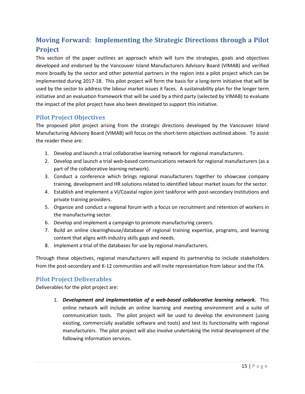## <span id="page-14-0"></span>**Moving Forward: Implementing the Strategic Directions through a Pilot Project**

This section of the paper outlines an approach which will turn the strategies, goals and objectives developed and endorsed by the Vancouver Island Manufacturers Advisory Board (VIMAB) and verified more broadly by the sector and other potential partners in the region into a pilot project which can be implemented during 2017-18. This pilot project will form the basis for a long-term initiative that will be used by the sector to address the labour market issues it faces. A sustainability plan for the longer term initiative and an evaluation framework that will be used by a third party (selected by VIMAB) to evaluate the impact of the pilot project have also been developed to support this initiative.

#### <span id="page-14-1"></span>**Pilot Project Objectives**

The proposed pilot project arising from the strategic directions developed by the Vancouver Island Manufacturing Advisory Board (VIMAB) will focus on the short-term objectives outlined above. To assist the reader these are:

- 1. Develop and launch a trial collaborative learning network for regional manufacturers.
- 2. Develop and launch a trial web-based communications network for regional manufacturers (as a part of the collaborative learning network).
- 3. Conduct a conference which brings regional manufacturers together to showcase company training, development and HR solutions related to identified labour market issues for the sector.
- 4. Establish and implement a VI/Coastal region joint taskforce with post-secondary institutions and private training providers.
- 5. Organize and conduct a regional forum with a focus on recruitment and retention of workers in the manufacturing sector.
- 6. Develop and implement a campaign to promote manufacturing careers.
- 7. Build an online clearinghouse/database of regional training expertise, programs, and learning content that aligns with industry skills gaps and needs.
- 8. Implement a trial of the databases for use by regional manufacturers.

Through these objectives, regional manufacturers will expand its partnership to include stakeholders from the post-secondary and K-12 communities and will invite representation from labour and the ITA.

#### <span id="page-14-2"></span>**Pilot Project Deliverables**

Deliverables for the pilot project are:

1. *Development and implementation of a web-based collaborative learning network.* This online network will include an online learning and meeting environment and a suite of communication tools. The pilot project will be used to develop the environment (using existing, commercially available software and tools) and test its functionality with regional manufacturers. The pilot project will also involve undertaking the initial development of the following information services.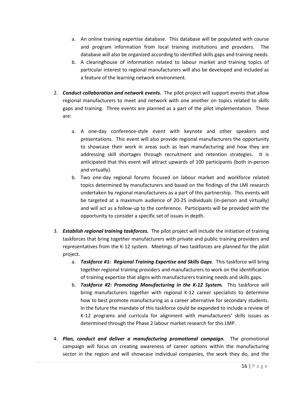- a. An online training expertise database. This database will be populated with course and program information from local training institutions and providers. The database will also be organized according to identified skills gaps and training needs.
- b. A clearinghouse of information related to labour market and training topics of particular interest to regional manufacturers will also be developed and included as a feature of the learning network environment.
- 2. *Conduct collaboration and network events.* The pilot project will support events that allow regional manufacturers to meet and network with one another on topics related to skills gaps and training. Three events are planned as a part of the pilot implementation. These are:
	- a. A one-day conference-style event with keynote and other speakers and presentations. This event will also provide regional manufacturers the opportunity to showcase their work in areas such as lean manufacturing and how they are addressing skill shortages through recruitment and retention strategies. It is anticipated that this event will attract upwards of 100 participants (both in-person and virtually).
	- b. Two one-day regional forums focused on labour market and workforce related topics determined by manufacturers and based on the findings of the LMI research undertaken by regional manufacturers as a part of this partnership. This events will be targeted at a maximum audience of 20-25 individuals (in-person and virtually) and will act as a follow-up to the conference. Participants will be provided with the opportunity to consider a specific set of issues in depth.
- 3. *Establish regional training taskforces.* The pilot project will include the initiation of training taskforces that bring together manufacturers with private and public training providers and representatives from the K-12 system. Meetings of two taskforces are planned for the pilot project.
	- a. *Taskforce #1: Regional Training Expertise and Skills Gaps*. This taskforce will bring together regional training providers and manufacturers to work on the identification of training expertise that aligns with manufacturers training needs and skills gaps.
	- b. *Taskforce #2: Promoting Manufacturing in the K-12 System.* This taskforce will bring manufacturers together with regional K-12 career specialists to determine how to best promote manufacturing as a career alternative for secondary students. In the future the mandate of this taskforce could be expanded to include a review of K-12 programs and curricula for alignment with manufacturers' skills issues as determined through the Phase 2 labour market research for this LMP.
- 4. *Plan, conduct and deliver a manufacturing promotional campaign.* The promotional campaign will focus on creating awareness of career options within the manufacturing sector in the region and will showcase individual companies, the work they do, and the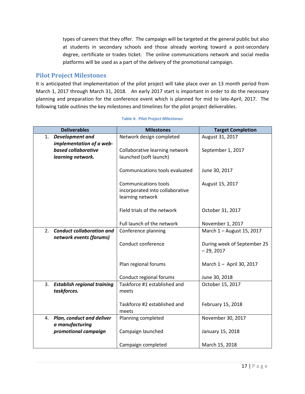types of careers that they offer. The campaign will be targeted at the general public but also at students in secondary schools and those already working toward a post-secondary degree, certificate or trades ticket. The online communications network and social media platforms will be used as a part of the delivery of the promotional campaign.

#### <span id="page-16-0"></span>**Pilot Project Milestones**

It is anticipated that implementation of the pilot project will take place over an 13 month period from March 1, 2017 through March 31, 2018. An early 2017 start is important in order to do the necessary planning and preparation for the conference event which is planned for mid to late-April, 2017. The following table outlines the key milestones and timelines for the pilot project deliverables.

| <b>Deliverables</b>                      |  | <b>Milestones</b>               | <b>Target Completion</b>    |
|------------------------------------------|--|---------------------------------|-----------------------------|
| Development and<br>1.                    |  | Network design completed        | August 31, 2017             |
| implementation of a web-                 |  |                                 |                             |
| based collaborative<br>learning network. |  | Collaborative learning network  | September 1, 2017           |
|                                          |  | launched (soft launch)          |                             |
|                                          |  |                                 |                             |
|                                          |  | Communications tools evaluated  | June 30, 2017               |
|                                          |  |                                 |                             |
|                                          |  | <b>Communications tools</b>     | August 15, 2017             |
|                                          |  | incorporated into collaborative |                             |
|                                          |  | learning network                |                             |
|                                          |  |                                 |                             |
|                                          |  | Field trials of the network     | October 31, 2017            |
|                                          |  |                                 |                             |
|                                          |  | Full launch of the network      | November 1, 2017            |
| <b>Conduct collaboration and</b><br>2.   |  | Conference planning             | March 1 - August 15, 2017   |
| network events (forums)                  |  |                                 |                             |
|                                          |  | Conduct conference              | During week of September 25 |
|                                          |  |                                 | $-29, 2017$                 |
|                                          |  |                                 |                             |
|                                          |  | Plan regional forums            | March 1 - April 30, 2017    |
|                                          |  |                                 |                             |
|                                          |  | Conduct regional forums         | June 30, 2018               |
| 3.<br><b>Establish regional training</b> |  | Taskforce #1 established and    | October 15, 2017            |
| taskforces.                              |  | meets                           |                             |
|                                          |  | Taskforce #2 established and    |                             |
|                                          |  |                                 | February 15, 2018           |
| 4. Plan, conduct and deliver             |  | meets<br>Planning completed     | November 30, 2017           |
| a manufacturing                          |  |                                 |                             |
| promotional campaign                     |  | Campaign launched               | January 15, 2018            |
|                                          |  |                                 |                             |
|                                          |  | Campaign completed              | March 15, 2018              |
|                                          |  |                                 |                             |

#### **Table 4: Pilot Project Milestones**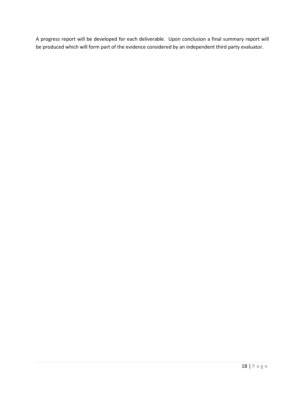A progress report will be developed for each deliverable. Upon conclusion a final summary report will be produced which will form part of the evidence considered by an independent third party evaluator.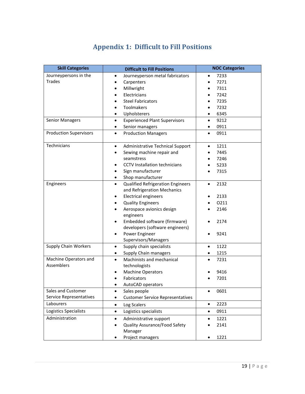## **Appendix 1: Difficult to Fill Positions**

<span id="page-18-0"></span>

| <b>Skill Categories</b>       | <b>Difficult to Fill Positions</b>                    | <b>NOC Categories</b> |
|-------------------------------|-------------------------------------------------------|-----------------------|
| Journeypersons in the         | Journeyperson metal fabricators<br>$\bullet$          | 7233                  |
| <b>Trades</b>                 | Carpenters                                            | 7271                  |
|                               | Millwright                                            | 7311                  |
|                               | Electricians<br>٠                                     | 7242                  |
|                               | <b>Steel Fabricators</b>                              | 7235                  |
|                               | Toolmakers<br>٠                                       | 7232                  |
|                               | Upholsterers<br>$\bullet$                             | 6345                  |
| <b>Senior Managers</b>        | <b>Experienced Plant Supervisors</b><br>$\bullet$     | 9212<br>$\bullet$     |
|                               | Senior managers<br>$\bullet$                          | 0911                  |
| <b>Production Supervisors</b> | <b>Production Managers</b><br>$\bullet$               | 0911<br>$\bullet$     |
| Technicians                   | Administrative Technical Support<br>$\bullet$         | 1211                  |
|                               | Sewing machine repair and<br>$\bullet$                | 7445                  |
|                               | seamstress                                            | 7246                  |
|                               | <b>CCTV</b> Installation technicians<br>$\bullet$     | 5233                  |
|                               | Sign manufacturer<br>$\bullet$                        | 7315                  |
|                               | Shop manufacturer<br>٠                                |                       |
| Engineers                     | Qualified Refrigeration Engineers<br>$\bullet$        | 2132<br>$\bullet$     |
|                               | and Refrigeration Mechanics                           |                       |
|                               | <b>Electrical engineers</b><br>٠                      | 2133                  |
|                               | <b>Quality Engineers</b><br>٠                         | 0211                  |
|                               | Aerospace avionics design<br>$\bullet$<br>engineers   | 2146                  |
|                               | Embedded software (firmware)<br>٠                     | 2174                  |
|                               | developers (software engineers)                       |                       |
|                               | Power Engineer<br>$\bullet$                           | 9241                  |
|                               | Supervisors/Managers                                  |                       |
| <b>Supply Chain Workers</b>   | Supply chain specialists<br>$\bullet$                 | 1122<br>$\bullet$     |
|                               | Supply Chain managers<br>$\bullet$                    | 1215                  |
| Machine Operators and         | Machinists and mechanical<br>$\bullet$                | 7231                  |
| Assemblers                    | technologists                                         |                       |
|                               | <b>Machine Operators</b><br>$\bullet$                 | 9416                  |
|                               | Fabricators                                           | 7201                  |
|                               | AutoCAD operators                                     |                       |
| Sales and Customer            | Sales people<br>$\bullet$                             | 0601<br>$\bullet$     |
| Service Representatives       | <b>Customer Service Representatives</b><br>٠          |                       |
| Labourers                     | Log Scalers<br>$\bullet$                              | 2223<br>$\bullet$     |
| Logistics Specialists         | Logistics specialists<br>$\bullet$                    | 0911<br>$\bullet$     |
| Administration                | Administrative support<br>$\bullet$                   | 1221<br>$\bullet$     |
|                               | Quality Assurance/Food Safety<br>$\bullet$<br>Manager | 2141                  |
|                               | Project managers<br>٠                                 | 1221                  |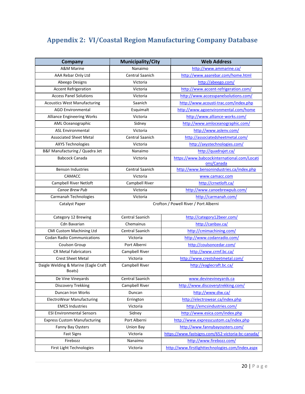# <span id="page-19-0"></span>**Appendix 2: VI/Coastal Region Manufacturing Company Database**

| <b>Company</b>                                 | <b>Municipality/City</b> | <b>Web Address</b>                                        |
|------------------------------------------------|--------------------------|-----------------------------------------------------------|
| <b>A&amp;M Marine</b>                          | Nanaimo                  | http://www.ammarine.ca/                                   |
| AAA Rebar Only Ltd                             | <b>Central Saanich</b>   | http://www.aaarebar.com/home.html                         |
| Abeego Designs                                 | Victoria                 | http://abeego.com/                                        |
| <b>Accent Refrigeration</b>                    | Victoria                 | http://www.accent-refrigeration.com/                      |
| <b>Access Panel Solutions</b>                  | Victoria                 | http://www.accesspanelsolutions.com/                      |
| <b>Acoustics West Manufacturing</b>            | Saanich                  | http://www.acousti-trac.com/index.php                     |
| <b>AGO Environmental</b>                       | Esquimalt                | http://www.agoenvironmental.com/home                      |
| <b>Alliance Engineering Works</b>              | Victoria                 | http://www.alliance-works.com/                            |
| AML Oceanographic                              | Sidney                   | http://www.amloceanographic.com/                          |
| <b>ASL Environmental</b>                       | Victoria                 | http://www.aslenv.com/                                    |
| <b>Associated Sheet Metal</b>                  | <b>Central Saanich</b>   | http://associatedsheetmetal.com/                          |
| <b>AXYS Technologies</b>                       | Victoria                 | http://axystechnologies.com/                              |
| B&F Manufacturing / Quadra Jet                 | Nanaimo                  | http://quadrajet.ca/                                      |
| Babcock Canada                                 | Victoria                 | https://www.babcockinternational.com/Locati<br>ons/Canada |
| <b>Benson Industries</b>                       | <b>Central Saanich</b>   | http://www.bensonindustries.ca/index.php                  |
| CAMACC                                         | Victoria                 | www.camacc.com                                            |
| Campbell River Netloft                         | Campbell River           | http://crnetloft.ca/                                      |
| Canoe Brew Pub                                 | Victoria                 | http://www.canoebrewpub.com/                              |
| Carmanah Technologies                          | Victoria                 | http://carmanah.com/                                      |
| Catalyst Paper                                 |                          | Crofton / Powell River / Port Alberni                     |
| Category 12 Brewing                            | <b>Central Saanich</b>   | http://category12beer.com/                                |
| <b>Cdn Bavarian</b>                            | Chemainus                | http://canbav.ca/                                         |
| CMI Custom Machining Ltd                       | Central Saanich          | http://cmimachining.com/                                  |
| <b>Codan Radio Communications</b>              | Victoria                 | http://www.codanradio.com/                                |
| Coulson Group                                  | Port Alberni             | http://coulsoncedar.com/                                  |
| <b>CR Metal Fabricators</b>                    | Campbell River           | http://www.crmf.bc.ca/                                    |
| <b>Crest Sheet Metal</b>                       | Victoria                 | http://www.crestsheetmetal.com/                           |
| Daigle Welding & Marine (Eagle Craft<br>Boats) | Campbell River           | http://eaglecraft.bc.ca/                                  |
| De Vine Vineyards                              | <b>Central Saanich</b>   | www.devinevineyards.ca                                    |
| Discovery Trekking                             | Campbell River           | http://www.discoverytrekking.com/                         |
| Duncan Iron Works                              | Duncan                   | http://www.diw.ca/                                        |
| ElectroWear Manufacturing                      | Errington                | http://electrowear.ca/index.php                           |
| <b>EMCS Industries</b>                         | Victoria                 | http://emcsindustries.com/                                |
| <b>ESI Environmental Sensors</b>               | Sidney                   | http://www.esica.com/index.php                            |
| <b>Express Custom Manufacturing</b>            | Port Alberni             | http://www.expresscustom.ca/index.php                     |
| Fanny Bay Oysters                              | Union Bay                | http://www.fannybayoysters.com/                           |
| <b>Fast Signs</b>                              | Victoria                 | https://www.fastsigns.com/652-victoria-bc-canada/         |
| Firebozz                                       | Nanaimo                  | http://www.firebozz.com/                                  |
| First Light Technologies                       | Victoria                 | http://www.firstlighttechnologies.com/Index.aspx          |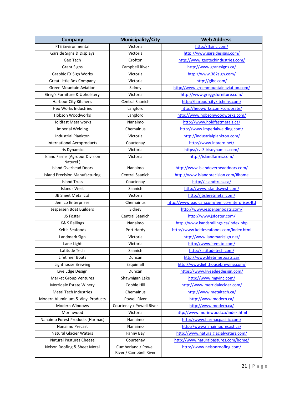| <b>Company</b>                                    | <b>Municipality/City</b> | <b>Web Address</b>                            |
|---------------------------------------------------|--------------------------|-----------------------------------------------|
| <b>FTS Environmental</b>                          | Victoria                 | http://ftsinc.com/                            |
| Garside Signs & Displays                          | Victoria                 | http://www.garsidesigns.com/                  |
| Geo Tech                                          | Crofton                  | http://www.geotechindustries.com/             |
| <b>Grant Signs</b>                                | Campbell River           | http://www.grantsigns.ca/                     |
| Graphic FX Sign Works                             | Victoria                 | http://www.382sign.com/                       |
| <b>Great Little Box Company</b>                   | Victoria                 | http://glbc.com/                              |
| <b>Green Mountain Aviation</b>                    | Sidney                   | http://www.greenmountainaviation.com/         |
| Greg's Furniture & Upholstery                     | Victoria                 | http://www.greggsfurniture.com/               |
| Harbour City Kitchens                             | Central Saanich          | http://harbourcitykitchens.com/               |
| <b>Heo Works Industries</b>                       | Langford                 | http://heoworks.com/corporate/                |
| <b>Hobson Woodworks</b>                           | Langford                 | http://www.hobsonwoodworks.com/               |
| <b>Holdfast Metalworks</b>                        | Nanaimo                  | http://www.holdfastmetals.ca/                 |
| <b>Imperial Welding</b>                           | Chemainus                | http://www.imperialwelding.com/               |
| <b>Industrial Plankton</b>                        | Victoria                 | http://industrialplankton.com/                |
| <b>International Aeroproducts</b>                 | Courtenay                | http://www.intaero.net/                       |
| <b>Iris Dynamics</b>                              | Victoria                 | https://vs3.irisdynamics.com/                 |
| <b>Island Farms (Agropur Division</b><br>Naturel) | Victoria                 | http://islandfarms.com/                       |
| <b>Island Overhead Doors</b>                      | Nanaimo                  | http://www.islandoverheaddoors.com/           |
| <b>Island Precision Manufacturing</b>             | Central Saanich          | http://www.islandprecision.com/#home          |
| <b>Island Truss</b>                               | Courtenay                | http://islandtruss.ca/                        |
| <b>Islands West</b>                               | Saanich                  | http://www.islandswest.com/                   |
| JB Sheet Metal Ltd                                | Victoria                 | http://jbsheetmetal.com/                      |
| Jemico Enterprises                                | Chemainus                | http://www.paulcan.com/jemico-enterprises-ltd |
| Jespersen Boat Builders                           | Sidney                   | http://www.jespersenboats.com/                |
| JS Foster                                         | Central Saanich          | http://www.jsfoster.com/                      |
| <b>K&amp; S Railings</b>                          | Nanaimo                  | http://www.kandsrailings.ca/index.php         |
| Keltic Seafoods                                   | Port Hardy               | http://www.kelticseafoods.com/index.html      |
| Landmark Sign                                     | Victoria                 | http://www.landmarksign.net/                  |
| Lane Light                                        | Victoria                 | http://www.itemltd.com/                       |
| Latitude Tech                                     | Saanich                  | http://latitudetech.com/                      |
| Lifetimer Boats                                   | Duncan                   | http://www.lifetimerboats.ca/                 |
| Lighthouse Brewing                                | Esquimalt                | http://www.lighthousebrewing.com/             |
| Live Edge Design                                  | Duncan                   | https://www.liveedgedesign.com/               |
| <b>Market Group Ventures</b>                      | Shawnigan Lake           | http://www.mgvinc.com/                        |
| Merridale Estate Winery                           | Cobble Hill              | http://www.merridalecider.com/                |
| Metal Tech Industries                             | Chemainus                | http://www.metaltech.ca/                      |
| Modern Aluminium & Vinyl Products                 | <b>Powell River</b>      | http://www.modern.ca/                         |
| <b>Modern Windows</b>                             | Courtenay / Powell River | http://www.modern.ca/                         |
| Morinwood                                         | Victoria                 | http://www.morinwood.ca/index.html            |
| Nanaimo Forest Products (Harmac)                  | Nanaimo                  | http://www.harmacpacific.com/                 |
| Nanaimo Precast                                   | Nanaimo                  | http://www.nanaimoprecast.ca/                 |
| <b>Natural Glacier Waters</b>                     | Fanny Bay                | http://www.naturalglacialwaters.com/          |
| <b>Natural Pastures Cheese</b>                    | Courtenay                | http://www.naturalpastures.com/home/          |
| Nelson Roofing & Sheet Metal                      | Cumberland / Powell      | http://www.nelsonroofing.com/                 |
|                                                   | River / Campbell River   |                                               |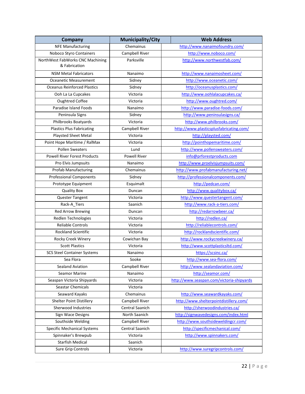| <b>Company</b>                                    | <b>Municipality/City</b> | <b>Web Address</b>                        |
|---------------------------------------------------|--------------------------|-------------------------------------------|
| <b>NFE Manufacturing</b>                          | Chemainus                | http://www.nanaimofoundry.com/            |
| Noboco Styro Containers                           | Campbell River           | http://www.noboco.com/                    |
| NorthWest FabWorks CNC Machining<br>& Fabrication | Parksville               | http://www.northwestfab.com/              |
| <b>NSM Metal Fabricators</b>                      | Nanaimo                  | http://www.nanaimosheet.com/              |
| Oceanetic Measurement                             | Sidney                   | http://www.oceanetic.com/                 |
| <b>Oceanus Reinforced Plastics</b>                | Sidney                   | http://oceanusplastics.com/               |
| Ooh La La Cupcakes                                | Victoria                 | http://www.oohlalacupcakes.ca/            |
| <b>Oughtred Coffee</b>                            | Victoria                 | http://www.oughtred.com/                  |
| Paradise Island Foods                             | Nanaimo                  | http://www.paradise-foods.com/            |
| Peninsula Signs                                   | Sidney                   | http://www.peninsulasigns.ca/             |
| Philbrooks Boatyards                              | Victoria                 | http://www.philbrooks.com/                |
| <b>Plastics Plus Fabricating</b>                  | Campbell River           | http://www.plasticsplusfabricating.com/   |
| Playsted Sheet Metal                              | Victoria                 | http://playsted.com/                      |
| Point Hope Maritime / RalMax                      | Victoria                 | http://pointhopemaritime.com/             |
| <b>Pollen Sweaters</b>                            | Lund                     | http://www.pollensweaters.com/            |
| <b>Powell River Forest Products</b>               | <b>Powell River</b>      | info@prforestproducts.com                 |
| Pro Elvis Jumpsuits                               | Nanaimo                  | http://www.proelvisjumpsuits.com/         |
| <b>Profab Manufacturing</b>                       | Chemainus                | http://www.profabmanufacturing.net/       |
| <b>Professional Components</b>                    | Sidney                   | http://professionalcomponents.com/        |
| Prototype Equipment                               | Esquimalt                | http://pedcan.com/                        |
| <b>Quality Box</b>                                | Duncan                   | http://www.qualitybox.ca/                 |
| Quester Tangent                                   | Victoria                 | http://www.questertangent.com/            |
| Rack-A_Tiers                                      | Saanich                  | http://www.rack-a-tiers.com/              |
| <b>Red Arrow Brewing</b>                          | Duncan                   | http://redarrowbeer.ca/                   |
| Redlen Technologies                               | Victoria                 | http://redlen.ca/                         |
| <b>Reliable Controls</b>                          | Victoria                 | http://reliablecontrols.com/              |
| <b>Rockland Scientific</b>                        | Victoria                 | http://rocklandscientific.com/            |
| Rocky Creek Winery                                | Cowichan Bay             | http://www.rockycreekwinery.ca/           |
| <b>Scott Plastics</b>                             | Victoria                 | http://www.scottplasticsltd.com/          |
| <b>SCS Steel Container Systems</b>                | Nanaimo                  | https://scsinc.ca/                        |
| Sea Flora                                         | Sooke                    | http://www.sea-flora.com/                 |
| Sealand Aviation                                  | Campbell River           | http://www.sealandaviation.com/           |
| <b>Seamor Marine</b>                              | Nanaimo                  | http://seamor.com/                        |
| Seaspan Victoria Shipyards                        | Victoria                 | http://www.seaspan.com/victoria-shipyards |
| Seastar Chemicals                                 | Victoria                 |                                           |
| Seaward Kayaks                                    | Chemainus                | http://www.seawardkayaks.com/             |
| Shelter Point Distillery                          | Campbell River           | http://www.shelterpointdistillery.com/    |
| Sherwood Industries                               | Central Saanich          | http://sherwoodindustries.ca/             |
| Sign Wace Designs                                 | North Saanich            | http://signwavedesigns.com/index.html     |
| Southside Welding                                 | Campbell River           | http://www.southsideweldingcr.com/        |
| <b>Specific Mechanical Systems</b>                | Central Saanich          | http://specificmechanical.com/            |
| Spinnaker's Brewpub                               | Victoria                 | http://www.spinnakers.com/                |
| <b>Starfish Medical</b>                           | Saanich                  |                                           |
| Sure Grip Controls                                | Victoria                 | http://www.suregripcontrols.com/          |